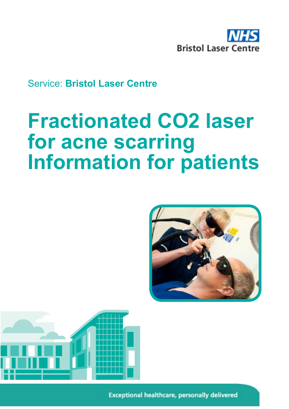

Service: **Bristol Laser Centre**

# **Fractionated CO2 laser for acne scarring Information for patients**





**Exceptional healthcare, personally delivered**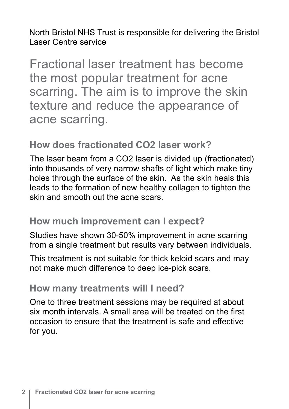North Bristol NHS Trust is responsible for delivering the Bristol Laser Centre service

Fractional laser treatment has become the most popular treatment for acne scarring. The aim is to improve the skin texture and reduce the appearance of acne scarring.

## **How does fractionated CO2 laser work?**

The laser beam from a CO2 laser is divided up (fractionated) into thousands of very narrow shafts of light which make tiny holes through the surface of the skin. As the skin heals this leads to the formation of new healthy collagen to tighten the skin and smooth out the acne scars.

#### **How much improvement can I expect?**

Studies have shown 30-50% improvement in acne scarring from a single treatment but results vary between individuals.

This treatment is not suitable for thick keloid scars and may not make much difference to deep ice-pick scars.

#### **How many treatments will I need?**

One to three treatment sessions may be required at about six month intervals. A small area will be treated on the first occasion to ensure that the treatment is safe and effective for you.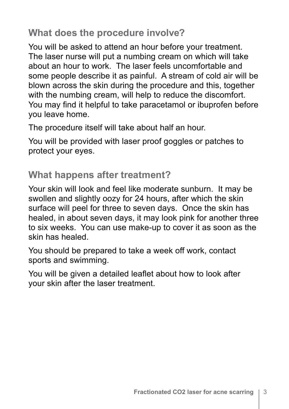## **What does the procedure involve?**

You will be asked to attend an hour before your treatment. The laser nurse will put a numbing cream on which will take about an hour to work. The laser feels uncomfortable and some people describe it as painful. A stream of cold air will be blown across the skin during the procedure and this, together with the numbing cream, will help to reduce the discomfort. You may find it helpful to take paracetamol or ibuprofen before you leave home.

The procedure itself will take about half an hour.

You will be provided with laser proof goggles or patches to protect your eyes.

## **What happens after treatment?**

Your skin will look and feel like moderate sunburn. It may be swollen and slightly oozy for 24 hours, after which the skin surface will peel for three to seven days. Once the skin has healed, in about seven days, it may look pink for another three to six weeks. You can use make-up to cover it as soon as the skin has healed.

You should be prepared to take a week off work, contact sports and swimming.

You will be given a detailed leaflet about how to look after your skin after the laser treatment.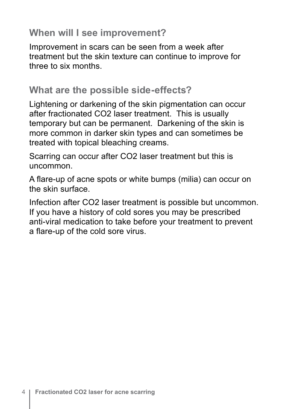#### **When will I see improvement?**

Improvement in scars can be seen from a week after treatment but the skin texture can continue to improve for three to six months.

#### **What are the possible side-effects?**

Lightening or darkening of the skin pigmentation can occur after fractionated CO2 laser treatment. This is usually temporary but can be permanent. Darkening of the skin is more common in darker skin types and can sometimes be treated with topical bleaching creams.

Scarring can occur after CO2 laser treatment but this is uncommon.

A flare-up of acne spots or white bumps (milia) can occur on the skin surface.

Infection after CO2 laser treatment is possible but uncommon. If you have a history of cold sores you may be prescribed anti-viral medication to take before your treatment to prevent a flare-up of the cold sore virus.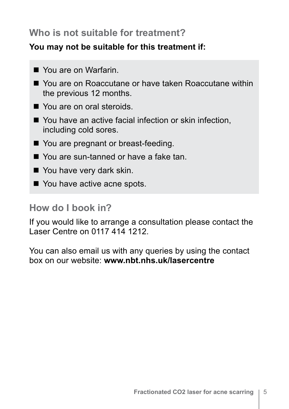#### **Who is not suitable for treatment?**

#### **You may not be suitable for this treatment if:**

- Nou are on Warfarin.
- You are on Roaccutane or have taken Roaccutane within the previous 12 months.
- You are on oral steroids.
- $\blacksquare$  You have an active facial infection or skin infection, including cold sores.
- You are pregnant or breast-feeding.
- You are sun-tanned or have a fake tan.
- $\blacksquare$  You have very dark skin.
- You have active acne spots.

# **How do I book in?**

If you would like to arrange a consultation please contact the Laser Centre on 0117 414 1212.

You can also email us with any queries by using the contact box on our website: **www.nbt.nhs.uk/lasercentre**